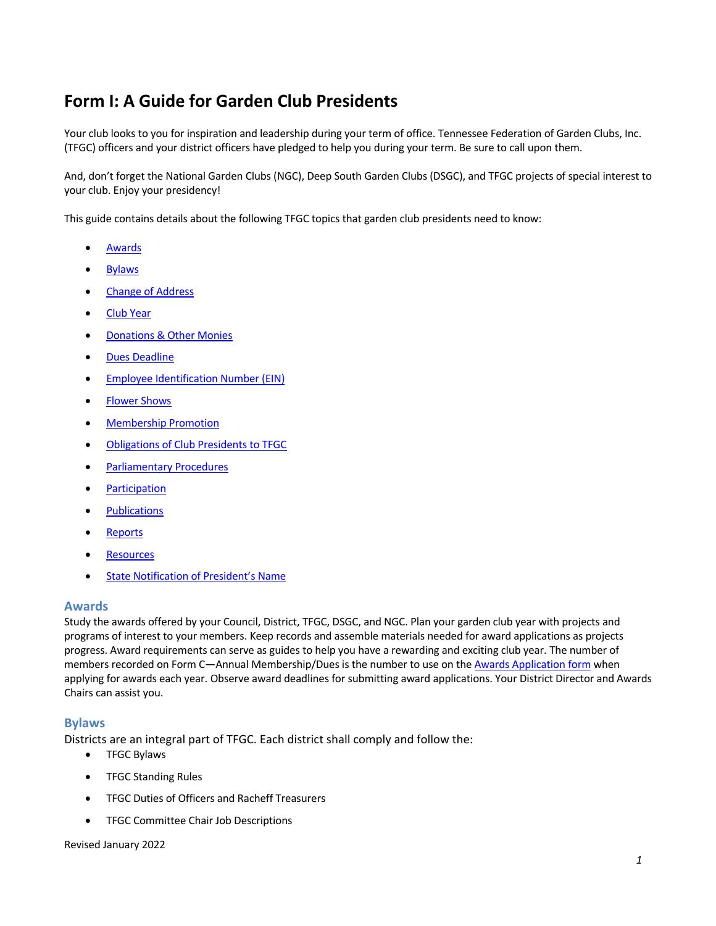# **Form I: A Guide for Garden Club Presidents**

Your club looks to you for inspiration and leadership during your term of office. Tennessee Federation of Garden Clubs, Inc. (TFGC) officers and your district officers have pledged to help you during your term. Be sure to call upon them.

And, don't forget the National Garden Clubs (NGC), Deep South Garden Clubs (DSGC), and TFGC projects of special interest to your club. Enjoy your presidency!

This guide contains details about the following TFGC topics that garden club presidents need to know:

- Awards
- Bylaws
- Change of Address
- Club Year
- Donations & Other Monies
- Dues Deadline
- Employee Identification Number (EIN)
- Flower Shows
- Membership Promotion
- Obligations of Club Presidents to TFGC
- Parliamentary Procedures
- Participation
- Publications
- Reports
- Resources
- State Notification of President's Name

# **Awards**

Study the awards offered by your Council, District, TFGC, DSGC, and NGC. Plan your garden club year with projects and programs of interest to your members. Keep records and assemble materials needed for award applications as projects progress. Award requirements can serve as guides to help you have a rewarding and exciting club year. The number of members recorded on Form C—Annual Membership/Dues is the number to use on the Awards Application form when applying for awards each year. Observe award deadlines for submitting award applications. Your District Director and Awards Chairs can assist you.

# **Bylaws**

Districts are an integral part of TFGC. Each district shall comply and follow the:

- TFGC Bylaws
- TFGC Standing Rules
- TFGC Duties of Officers and Racheff Treasurers
- TFGC Committee Chair Job Descriptions

#### Revised January 2022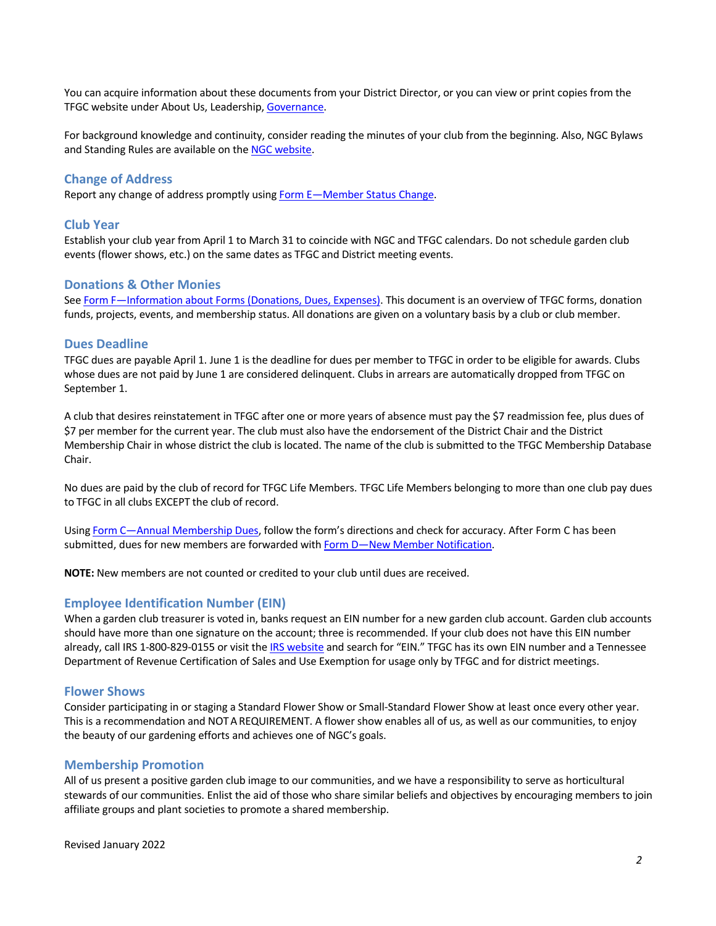You can acquire information about these documents from your District Director, or you can view or print copies from the TFGC website under About Us, Leadership, Governance.

For background knowledge and continuity, consider reading the minutes of your club from the beginning. Also, NGC Bylaws and Standing Rules are available on the NGC website.

## **Change of Address**

Report any change of address promptly using Form E—Member Status Change.

#### **Club Year**

Establish your club year from April 1 to March 31 to coincide with NGC and TFGC calendars. Do not schedule garden club events (flower shows, etc.) on the same dates as TFGC and District meeting events.

# **Donations & Other Monies**

See Form F—Information about Forms (Donations, Dues, Expenses). This document is an overview of TFGC forms, donation funds, projects, events, and membership status. All donations are given on a voluntary basis by a club or club member.

#### **Dues Deadline**

TFGC dues are payable April 1. June 1 is the deadline for dues per member to TFGC in order to be eligible for awards. Clubs whose dues are not paid by June 1 are considered delinquent. Clubs in arrears are automatically dropped from TFGC on September 1.

A club that desires reinstatement in TFGC after one or more years of absence must pay the \$7 readmission fee, plus dues of \$7 per member for the current year. The club must also have the endorsement of the District Chair and the District Membership Chair in whose district the club is located. The name of the club is submitted to the TFGC Membership Database Chair.

No dues are paid by the club of record for TFGC Life Members. TFGC Life Members belonging to more than one club pay dues to TFGC in all clubs EXCEPT the club of record.

Using Form C—Annual Membership Dues, follow the form's directions and check for accuracy. After Form C has been submitted, dues for new members are forwarded with Form D—New Member Notification.

**NOTE:** New members are not counted or credited to your club until dues are received.

## **Employee Identification Number (EIN)**

When a garden club treasurer is voted in, banks request an EIN number for a new garden club account. Garden club accounts should have more than one signature on the account; three is recommended. If your club does not have this EIN number already, call IRS 1-800-829-0155 or visit the IRS website and search for "EIN." TFGC has its own EIN number and a Tennessee Department of Revenue Certification of Sales and Use Exemption for usage only by TFGC and for district meetings.

#### **Flower Shows**

Consider participating in or staging a Standard Flower Show or Small-Standard Flower Show at least once every other year. This is a recommendation and NOTA REQUIREMENT. A flower show enables all of us, as well as our communities, to enjoy the beauty of our gardening efforts and achieves one of NGC's goals.

#### **Membership Promotion**

All of us present a positive garden club image to our communities, and we have a responsibility to serve as horticultural stewards of our communities. Enlist the aid of those who share similar beliefs and objectives by encouraging members to join affiliate groups and plant societies to promote a shared membership.

Revised January 2022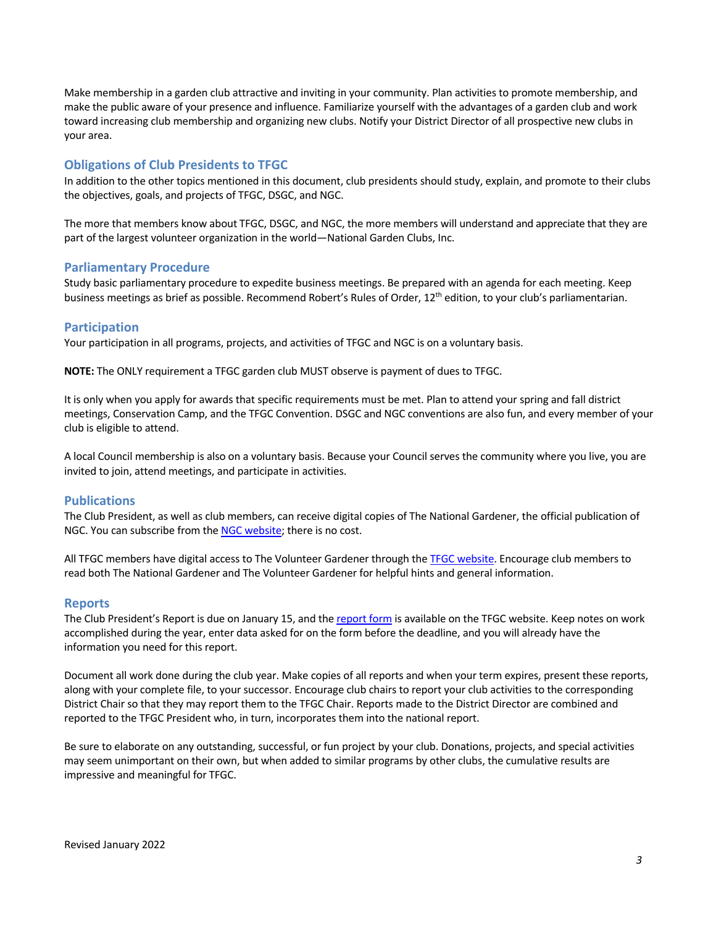Make membership in a garden club attractive and inviting in your community. Plan activities to promote membership, and make the public aware of your presence and influence. Familiarize yourself with the advantages of a garden club and work toward increasing club membership and organizing new clubs. Notify your District Director of all prospective new clubs in your area.

# **Obligations of Club Presidents to TFGC**

In addition to the other topics mentioned in this document, club presidents should study, explain, and promote to their clubs the objectives, goals, and projects of TFGC, DSGC, and NGC.

The more that members know about TFGC, DSGC, and NGC, the more members will understand and appreciate that they are part of the largest volunteer organization in the world—National Garden Clubs, Inc.

## **Parliamentary Procedure**

Study basic parliamentary procedure to expedite business meetings. Be prepared with an agenda for each meeting. Keep business meetings as brief as possible. Recommend Robert's Rules of Order, 12<sup>th</sup> edition, to your club's parliamentarian.

## **Participation**

Your participation in all programs, projects, and activities of TFGC and NGC is on a voluntary basis.

**NOTE:** The ONLY requirement a TFGC garden club MUST observe is payment of dues to TFGC.

It is only when you apply for awards that specific requirements must be met. Plan to attend your spring and fall district meetings, Conservation Camp, and the TFGC Convention. DSGC and NGC conventions are also fun, and every member of your club is eligible to attend.

A local Council membership is also on a voluntary basis. Because your Council serves the community where you live, you are invited to join, attend meetings, and participate in activities.

# **Publications**

The Club President, as well as club members, can receive digital copies of The National Gardener, the official publication of NGC. You can subscribe from the NGC website; there is no cost.

All TFGC members have digital access to The Volunteer Gardener through the TFGC website. Encourage club members to read both The National Gardener and The Volunteer Gardener for helpful hints and general information.

#### **Reports**

The Club President's Report is due on January 15, and the report form is available on the TFGC website. Keep notes on work accomplished during the year, enter data asked for on the form before the deadline, and you will already have the information you need for this report.

Document all work done during the club year. Make copies of all reports and when your term expires, present these reports, along with your complete file, to your successor. Encourage club chairs to report your club activities to the corresponding District Chair so that they may report them to the TFGC Chair. Reports made to the District Director are combined and reported to the TFGC President who, in turn, incorporates them into the national report.

Be sure to elaborate on any outstanding, successful, or fun project by your club. Donations, projects, and special activities may seem unimportant on their own, but when added to similar programs by other clubs, the cumulative results are impressive and meaningful for TFGC.